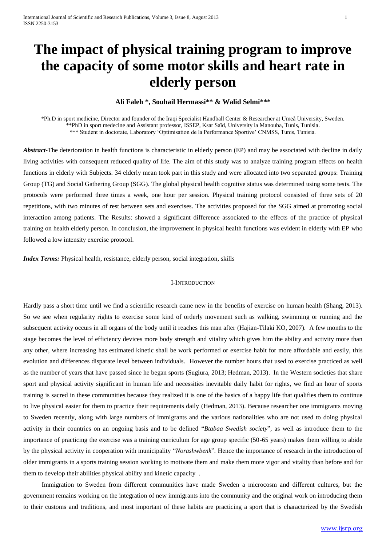# **The impact of physical training program to improve the capacity of some motor skills and heart rate in elderly person**

# **Ali Faleh \*, Souhail Hermassi\*\* & Walid Selmi\*\*\***

\*Ph.D in sport medicine, Director and founder of the Iraqi Specialist Handball Center & Researcher at Umeå University, Sweden. \*\*PhD in sport medecine and Assistant professor, ISSEP, Ksar Saîd, University la Manouba, Tunis, Tunisia. \*\*\* Student in doctorate, Laboratory 'Optimisation de la Performance Sportive' CNMSS, Tunis, Tunisia.

*Abstract-*The deterioration in health functions is characteristic in elderly person (EP) and may be associated with decline in daily living activities with consequent reduced quality of life. The aim of this study was to analyze training program effects on health functions in elderly with Subjects. 34 elderly mean took part in this study and were allocated into two separated groups: Training Group (TG) and Social Gathering Group (SGG). The global physical health cognitive status was determined using some tests. The protocols were performed three times a week, one hour per session. Physical training protocol consisted of three sets of 20 repetitions, with two minutes of rest between sets and exercises. The activities proposed for the SGG aimed at promoting social interaction among patients. The Results: showed a significant difference associated to the effects of the practice of physical training on health elderly person. In conclusion, the improvement in physical health functions was evident in elderly with EP who followed a low intensity exercise protocol.

*Index Terms:* Physical health, resistance, elderly person, social integration, skills

# I-INTRODUCTION

Hardly pass a short time until we find a scientific research came new in the benefits of exercise on human health (Shang, 2013). So we see when regularity rights to exercise some kind of orderly movement such as walking, swimming or running and the subsequent activity occurs in all organs of the body until it reaches this man after [\(Hajian-Tilaki KO,](http://www.ncbi.nlm.nih.gov/pubmed?term=Hajian-Tilaki%20KO%5BAuthor%5D&cauthor=true&cauthor_uid=17212790) 2007). A few months to the stage becomes the level of efficiency devices more body strength and vitality which gives him the ability and activity more than any other, where increasing has estimated kinetic shall be work performed or exercise habit for more affordable and easily, this evolution and differences disparate level between individuals. However the number hours that used to exercise practiced as well as the number of years that have passed since he began sports (Sugiura, 2013; Hedman, 2013). In the Western societies that share sport and physical activity significant in human life and necessities inevitable daily habit for rights, we find an hour of sports training is sacred in these communities because they realized it is one of the basics of a happy life that qualifies them to continue to live physical easier for them to practice their requirements daily (Hedman, 2013). Because researcher one immigrants moving to Sweden recently, along with large numbers of immigrants and the various nationalities who are not used to doing physical activity in their countries on an ongoing basis and to be defined "*Btabaa Swedish society*", as well as introduce them to the importance of practicing the exercise was a training curriculum for age group specific (50-65 years) makes them willing to abide by the physical activity in cooperation with municipality "*Norashwbenk*"*.* Hence the importance of research in the introduction of older immigrants in a sports training session working to motivate them and make them more vigor and vitality than before and for them to develop their abilities physical ability and kinetic capacity .

Immigration to Sweden from different communities have made Sweden a microcosm and different cultures, but the government remains working on the integration of new immigrants into the community and the original work on introducing them to their customs and traditions, and most important of these habits are practicing a sport that is characterized by the Swedish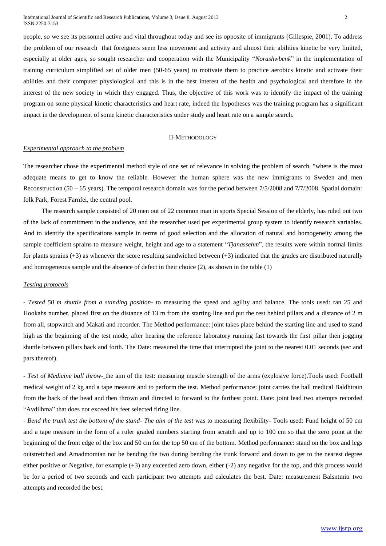people, so we see its personnel active and vital throughout today and see its opposite of immigrants (Gillespie, 2001). To address the problem of our research that foreigners seem less movement and activity and almost their abilities kinetic be very limited, especially at older ages, so sought researcher and cooperation with the Municipality "*Norashwbenk*" in the implementation of training curriculum simplified set of older men (50-65 years) to motivate them to practice aerobics kinetic and activate their abilities and their computer physiological and this is in the best interest of the health and psychological and therefore in the interest of the new society in which they engaged. Thus, the objective of this work was to identify the impact of the training program on some physical kinetic characteristics and heart rate, indeed the hypotheses was the training program has a significant impact in the development of some kinetic characteristics under study and heart rate on a sample search.

## II-METHODOLOGY

## *Experimental approach to the problem*

The researcher chose the experimental method style of one set of relevance in solving the problem of search, "where is the most adequate means to get to know the reliable. However the human sphere was the new immigrants to Sweden and men Reconstruction (50 – 65 years). The temporal research domain was for the period between 7/5/2008 and 7/7/2008. Spatial domain: folk Park, Forest Farnfei, the central pool.

The research sample consisted of 20 men out of 22 common man in sports Special Session of the elderly, has ruled out two of the lack of commitment in the audience, and the researcher used per experimental group system to identify research variables. And to identify the specifications sample in terms of good selection and the allocation of natural and homogeneity among the sample coefficient sprains to measure weight, height and age to a statement "*Tjanassehm*", the results were within normal limits for plants sprains (+3) as whenever the score resulting sandwiched between (+3) indicated that the grades are distributed naturally and homogeneous sample and the absence of defect in their choice (2), as shown in the table (1)

# *Testing protocols*

*- Tested 50 m shuttle from a standing position-* to measuring the speed and agility and balance. The tools used: ran 25 and Hookahs number, placed first on the distance of 13 m from the starting line and put the rest behind pillars and a distance of 2 m from all, stopwatch and Makati and recorder. The Method performance: joint takes place behind the starting line and used to stand high as the beginning of the test mode, after hearing the reference laboratory running fast towards the first pillar then jogging shuttle between pillars back and forth. The Date: measured the time that interrupted the joint to the nearest 0.01 seconds (sec and pars thereof).

*- Test of Medicine ball throw-* the aim of the test: measuring muscle strength of the arms (explosive force).Tools used: Football medical weight of 2 kg and a tape measure and to perform the test. Method performance: joint carries the ball medical Baldhirain from the back of the head and then thrown and directed to forward to the farthest point. Date: joint lead two attempts recorded "Avdilhma" that does not exceed his feet selected firing line.

*- Bend the trunk test the bottom of the stand- The aim of the test* was to measuring flexibility- Tools used: Fund height of 50 cm and a tape measure in the form of a ruler graded numbers starting from scratch and up to 100 cm so that the zero point at the beginning of the front edge of the box and 50 cm for the top 50 cm of the bottom. Method performance: stand on the box and legs outstretched and Amadmomtan not be bending the two during bending the trunk forward and down to get to the nearest degree either positive or Negative, for example (+3) any exceeded zero down, either (-2) any negative for the top, and this process would be for a period of two seconds and each participant two attempts and calculates the best. Date: measurement Balsntmitr two attempts and recorded the best.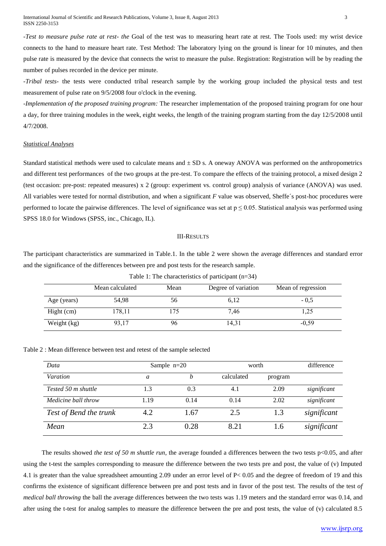International Journal of Scientific and Research Publications, Volume 3, Issue 8, August 2013 3 ISSN 2250-3153

*-Test to measure pulse rate at rest- the* Goal of the test was to measuring heart rate at rest. The Tools used: my wrist device connects to the hand to measure heart rate. Test Method: The laboratory lying on the ground is linear for 10 minutes, and then pulse rate is measured by the device that connects the wrist to measure the pulse. Registration: Registration will be by reading the number of pulses recorded in the device per minute.

*-Tribal tests-* the tests were conducted tribal research sample by the working group included the physical tests and test measurement of pulse rate on 9/5/2008 four o'clock in the evening.

*-Implementation of the proposed training program:* The researcher implementation of the proposed training program for one hour a day, for three training modules in the week, eight weeks, the length of the training program starting from the day 12/5/2008 until 4/7/2008.

## *Statistical Analyses*

Standard statistical methods were used to calculate means and  $\pm$  SD s. A oneway ANOVA was performed on the anthropometrics and different test performances of the two groups at the pre-test. To compare the effects of the training protocol, a mixed design 2 (test occasion: pre-post: repeated measures) x 2 (group: experiment vs. control group) analysis of variance (ANOVA) was used. All variables were tested for normal distribution, and when a significant *F* value was observed, Sheffe´s post-hoc procedures were performed to locate the pairwise differences. The level of significance was set at  $p \le 0.05$ . Statistical analysis was performed using SPSS 18.0 for Windows (SPSS, inc., Chicago, IL).

#### III-RESULTS

The participant characteristics are summarized in Table.1. In the table 2 were shown the average differences and standard error and the significance of the differences between pre and post tests for the research sample.

Table 1: The characteristics of participant (n=34)

|             | Mean calculated | Mean | Degree of variation | Mean of regression |  |
|-------------|-----------------|------|---------------------|--------------------|--|
| Age (years) | 54.98           | 56   | 6,12                | $-0.5$             |  |
| Hight (cm)  | 178,11          | 175  | 7.46                | 1,25               |  |
| Weight (kg) | 93.17           | 96   | 14.31               | $-0.59$            |  |

Table 2 : Mean difference between test and retest of the sample selected

| Data                   | Sample $n=20$ |      | worth      |         | difference  |
|------------------------|---------------|------|------------|---------|-------------|
| <i>Varation</i>        | a             | h    | calculated | program |             |
| Tested 50 m shuttle    | 1.3           | 0.3  | 4.1        | 2.09    | significant |
| Medicine ball throw    | 1.19          | 0.14 | 0.14       | 2.02    | significant |
| Test of Bend the trunk | 4.2           | 1.67 | 2.5        | 1.3     | significant |
| Mean                   | 2.3           | 0.28 | 8.21       | 1.6     | significant |

The results showed *the test of 50 m shuttle run*, the average founded a differences between the two tests  $p<0.05$ , and after using the t-test the samples corresponding to measure the difference between the two tests pre and post, the value of (v) Imputed 4.1 is greater than the value spreadsheet amounting 2.09 under an error level of P< 0.05 and the degree of freedom of 19 and this confirms the existence of significant difference between pre and post tests and in favor of the post test. The results of the test *of medical ball throwing* the ball the average differences between the two tests was 1.19 meters and the standard error was 0.14, and after using the t-test for analog samples to measure the difference between the pre and post tests, the value of (v) calculated 8.5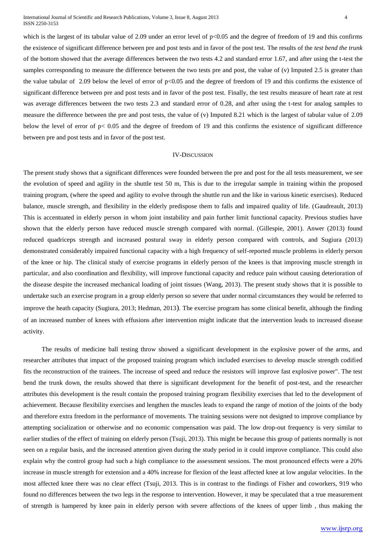International Journal of Scientific and Research Publications, Volume 3, Issue 8, August 2013 4 ISSN 2250-3153

which is the largest of its tabular value of 2.09 under an error level of  $p<0.05$  and the degree of freedom of 19 and this confirms the existence of significant difference between pre and post tests and in favor of the post test. The results of the *test bend the trunk* of the bottom showed that the average differences between the two tests 4.2 and standard error 1.67, and after using the t-test the samples corresponding to measure the difference between the two tests pre and post, the value of (v) Imputed 2.5 is greater than the value tabular of 2.09 below the level of error of  $p<0.05$  and the degree of freedom of 19 and this confirms the existence of significant difference between pre and post tests and in favor of the post test. Finally, the test results measure of heart rate at rest was average differences between the two tests 2.3 and standard error of 0.28, and after using the t-test for analog samples to measure the difference between the pre and post tests, the value of (v) Imputed 8.21 which is the largest of tabular value of 2.09 below the level of error of  $p < 0.05$  and the degree of freedom of 19 and this confirms the existence of significant difference between pre and post tests and in favor of the post test.

# IV-DISCUSSION

The present study shows that a significant differences were founded between the pre and post for the all tests measurement, we see the evolution of speed and agility in the shuttle test 50 m, This is due to the irregular sample in training within the proposed training program, (where the speed and agility to evolve through the shuttle run and the like in various kinetic exercises). Reduced balance, muscle strength, and flexibility in the elderly predispose them to falls and impaired quality of life. (Gaudreault, 2013) This is accentuated in elderly person in whom joint instability and pain further limit functional capacity. Previous studies have shown that the elderly person have reduced muscle strength compared with normal. (Gillespie, 2001). Anwer (2013) found reduced quadriceps strength and increased postural sway in elderly person compared with controls, and Sugiura (2013) demonstrated considerably impaired functional capacity with a high frequency of self-reported muscle problems in elderly person of the knee or hip. The clinical study of exercise programs in elderly person of the knees is that improving muscle strength in particular, and also coordination and flexibility, will improve functional capacity and reduce pain without causing deterioration of the disease despite the increased mechanical loading of joint tissues (Wang, 2013). The present study shows that it is possible to undertake such an exercise program in a group elderly person so severe that under normal circumstances they would be referred to improve the heath capacity (Sugiura, 2013; Hedman, 2013). The exercise program has some clinical benefit, although the finding of an increased number of knees with effusions after intervention might indicate that the intervention leads to increased disease activity.

The results of medicine ball testing throw showed a significant development in the explosive power of the arms, and researcher attributes that impact of the proposed training program which included exercises to develop muscle strength codified fits the reconstruction of the trainees. The increase of speed and reduce the resistors will improve fast explosive power". The test bend the trunk down, the results showed that there is significant development for the benefit of post-test, and the researcher attributes this development is the result contain the proposed training program flexibility exercises that led to the development of achievement. Because flexibility exercises and lengthen the muscles leads to expand the range of motion of the joints of the body and therefore extra freedom in the performance of movements. The training sessions were not designed to improve compliance by attempting socialization or otherwise and no economic compensation was paid. The low drop-out frequency is very similar to earlier studies of the effect of training on elderly person (Tsuji, 2013). This might be because this group of patients normally is not seen on a regular basis, and the increased attention given during the study period in it could improve compliance. This could also explain why the control group had such a high compliance to the assessment sessions. The most pronounced effects were a 20% increase in muscle strength for extension and a 40% increase for flexion of the least affected knee at low angular velocities. In the most affected knee there was no clear effect (Tsuji, 2013. This is in contrast to the findings of Fisher and coworkers, 919 who found no differences between the two legs in the response to intervention. However, it may be speculated that a true measurement of strength is hampered by knee pain in elderly person with severe affections of the knees of upper limb , thus making the